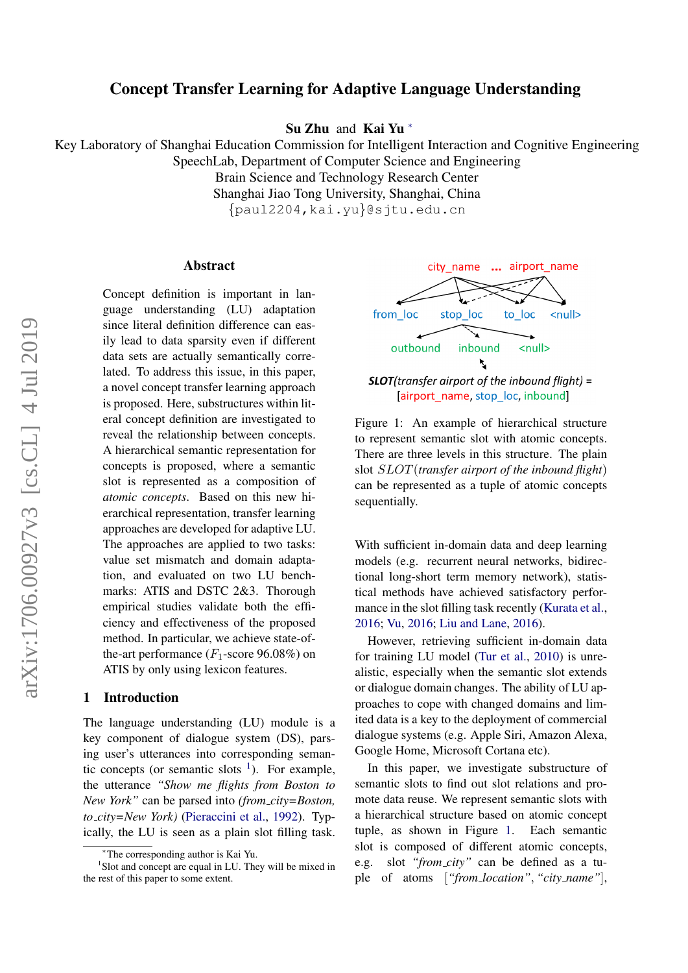# arXiv:1706.00927v3 [cs.CL] 4 Jul 2019 arXiv:1706.00927v3 [cs.CL] 4 Jul 2019

# Concept Transfer Learning for Adaptive Language Understanding

Su Zhu and Kai Yu <sup>∗</sup>

Key Laboratory of Shanghai Education Commission for Intelligent Interaction and Cognitive Engineering SpeechLab, Department of Computer Science and Engineering

Brain Science and Technology Research Center

Shanghai Jiao Tong University, Shanghai, China

{paul2204,kai.yu}@sjtu.edu.cn

#### Abstract

Concept definition is important in language understanding (LU) adaptation since literal definition difference can easily lead to data sparsity even if different data sets are actually semantically correlated. To address this issue, in this paper, a novel concept transfer learning approach is proposed. Here, substructures within literal concept definition are investigated to reveal the relationship between concepts. A hierarchical semantic representation for concepts is proposed, where a semantic slot is represented as a composition of *atomic concepts*. Based on this new hierarchical representation, transfer learning approaches are developed for adaptive LU. The approaches are applied to two tasks: value set mismatch and domain adaptation, and evaluated on two LU benchmarks: ATIS and DSTC 2&3. Thorough empirical studies validate both the efficiency and effectiveness of the proposed method. In particular, we achieve state-ofthe-art performance  $(F_1$ -score 96.08%) on ATIS by only using lexicon features.

#### 1 Introduction

The language understanding (LU) module is a key component of dialogue system (DS), parsing user's utterances into corresponding semantic concepts (or semantic slots  $\frac{1}{1}$  $\frac{1}{1}$  $\frac{1}{1}$ ). For example, the utterance *"Show me flights from Boston to New York"* can be parsed into *(from city=Boston, to city=New York)* [\(Pieraccini et al.,](#page-8-0) [1992\)](#page-8-0). Typically, the LU is seen as a plain slot filling task.

<span id="page-0-1"></span>

Figure 1: An example of hierarchical structure to represent semantic slot with atomic concepts. There are three levels in this structure. The plain slot SLOT(*transfer airport of the inbound flight*) can be represented as a tuple of atomic concepts sequentially.

With sufficient in-domain data and deep learning models (e.g. recurrent neural networks, bidirectional long-short term memory network), statistical methods have achieved satisfactory perfor-mance in the slot filling task recently [\(Kurata et al.,](#page-8-1) [2016;](#page-8-1) [Vu,](#page-8-2) [2016;](#page-8-2) [Liu and Lane,](#page-8-3) [2016\)](#page-8-3).

However, retrieving sufficient in-domain data for training LU model [\(Tur et al.,](#page-8-4) [2010\)](#page-8-4) is unrealistic, especially when the semantic slot extends or dialogue domain changes. The ability of LU approaches to cope with changed domains and limited data is a key to the deployment of commercial dialogue systems (e.g. Apple Siri, Amazon Alexa, Google Home, Microsoft Cortana etc).

In this paper, we investigate substructure of semantic slots to find out slot relations and promote data reuse. We represent semantic slots with a hierarchical structure based on atomic concept tuple, as shown in Figure [1.](#page-0-1) Each semantic slot is composed of different atomic concepts, e.g. slot *"from city"* can be defined as a tuple of atoms [*"from location"*, *"city name"*],

<span id="page-0-0"></span><sup>∗</sup>The corresponding author is Kai Yu.

<sup>&</sup>lt;sup>1</sup>Slot and concept are equal in LU. They will be mixed in the rest of this paper to some extent.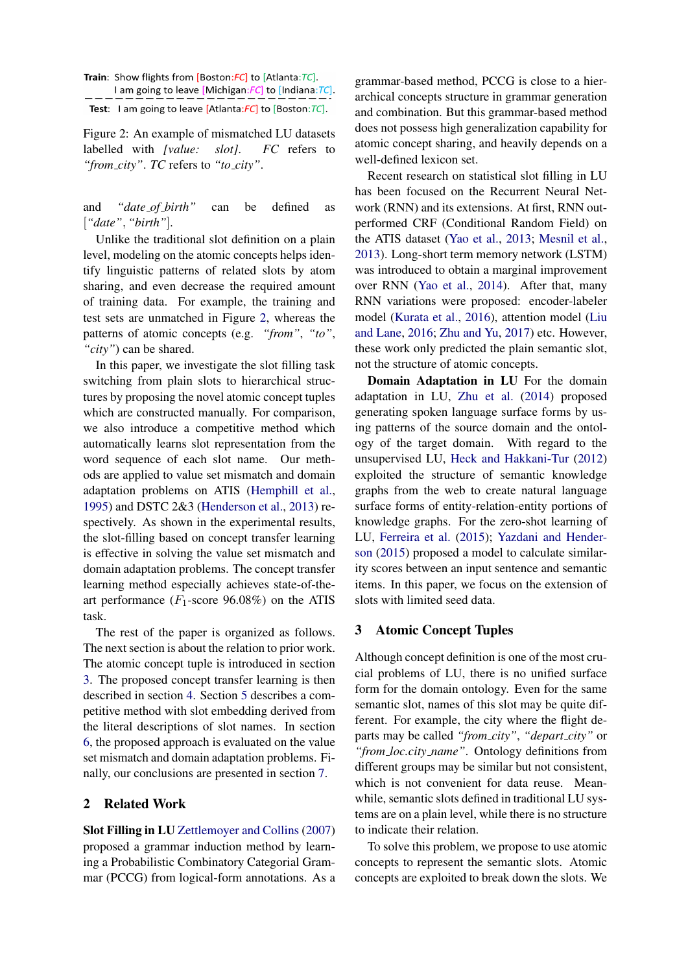Test: I am going to leave [Atlanta: $FC$ ] to [Boston: $TC$ ].

Figure 2: An example of mismatched LU datasets labelled with *[value: slot]*. *FC* refers to *"from city"*. *TC* refers to *"to city"*.

and *"date of birth"* can be defined as [*"date"*, *"birth"*].

Unlike the traditional slot definition on a plain level, modeling on the atomic concepts helps identify linguistic patterns of related slots by atom sharing, and even decrease the required amount of training data. For example, the training and test sets are unmatched in Figure [2,](#page-1-0) whereas the patterns of atomic concepts (e.g. *"from"*, *"to"*, *"city"*) can be shared.

In this paper, we investigate the slot filling task switching from plain slots to hierarchical structures by proposing the novel atomic concept tuples which are constructed manually. For comparison, we also introduce a competitive method which automatically learns slot representation from the word sequence of each slot name. Our methods are applied to value set mismatch and domain adaptation problems on ATIS [\(Hemphill et al.,](#page-8-5) [1995\)](#page-8-5) and DSTC 2&3 [\(Henderson et al.,](#page-8-6) [2013\)](#page-8-6) respectively. As shown in the experimental results, the slot-filling based on concept transfer learning is effective in solving the value set mismatch and domain adaptation problems. The concept transfer learning method especially achieves state-of-theart performance ( $F_1$ -score 96.08%) on the ATIS task.

The rest of the paper is organized as follows. The next section is about the relation to prior work. The atomic concept tuple is introduced in section [3.](#page-1-1) The proposed concept transfer learning is then described in section [4.](#page-2-0) Section [5](#page-4-0) describes a competitive method with slot embedding derived from the literal descriptions of slot names. In section [6,](#page-4-1) the proposed approach is evaluated on the value set mismatch and domain adaptation problems. Finally, our conclusions are presented in section [7.](#page-7-0)

# 2 Related Work

Slot Filling in LU [Zettlemoyer and Collins](#page-8-7) [\(2007\)](#page-8-7) proposed a grammar induction method by learning a Probabilistic Combinatory Categorial Grammar (PCCG) from logical-form annotations. As a grammar-based method, PCCG is close to a hierarchical concepts structure in grammar generation and combination. But this grammar-based method does not possess high generalization capability for atomic concept sharing, and heavily depends on a well-defined lexicon set.

Recent research on statistical slot filling in LU has been focused on the Recurrent Neural Network (RNN) and its extensions. At first, RNN outperformed CRF (Conditional Random Field) on the ATIS dataset [\(Yao et al.,](#page-8-8) [2013;](#page-8-8) [Mesnil et al.,](#page-8-9) [2013\)](#page-8-9). Long-short term memory network (LSTM) was introduced to obtain a marginal improvement over RNN [\(Yao et al.,](#page-8-10) [2014\)](#page-8-10). After that, many RNN variations were proposed: encoder-labeler model [\(Kurata et al.,](#page-8-1) [2016\)](#page-8-1), attention model [\(Liu](#page-8-3) [and Lane,](#page-8-3) [2016;](#page-8-3) [Zhu and Yu,](#page-8-11) [2017\)](#page-8-11) etc. However, these work only predicted the plain semantic slot, not the structure of atomic concepts.

Domain Adaptation in LU For the domain adaptation in LU, [Zhu et al.](#page-8-12) [\(2014\)](#page-8-12) proposed generating spoken language surface forms by using patterns of the source domain and the ontology of the target domain. With regard to the unsupervised LU, [Heck and Hakkani-Tur](#page-8-13) [\(2012\)](#page-8-13) exploited the structure of semantic knowledge graphs from the web to create natural language surface forms of entity-relation-entity portions of knowledge graphs. For the zero-shot learning of LU, [Ferreira et al.](#page-8-14) [\(2015\)](#page-8-14); [Yazdani and Hender](#page-8-15)[son](#page-8-15) [\(2015\)](#page-8-15) proposed a model to calculate similarity scores between an input sentence and semantic items. In this paper, we focus on the extension of slots with limited seed data.

# <span id="page-1-1"></span>3 Atomic Concept Tuples

Although concept definition is one of the most crucial problems of LU, there is no unified surface form for the domain ontology. Even for the same semantic slot, names of this slot may be quite different. For example, the city where the flight departs may be called *"from city"*, *"depart city"* or *"from loc.city name"*. Ontology definitions from different groups may be similar but not consistent, which is not convenient for data reuse. Meanwhile, semantic slots defined in traditional LU systems are on a plain level, while there is no structure to indicate their relation.

To solve this problem, we propose to use atomic concepts to represent the semantic slots. Atomic concepts are exploited to break down the slots. We

<span id="page-1-0"></span>Train: Show flights from [Boston:FC] to [Atlanta:TC]. I am going to leave [Michigan:FC] to [Indiana:TC].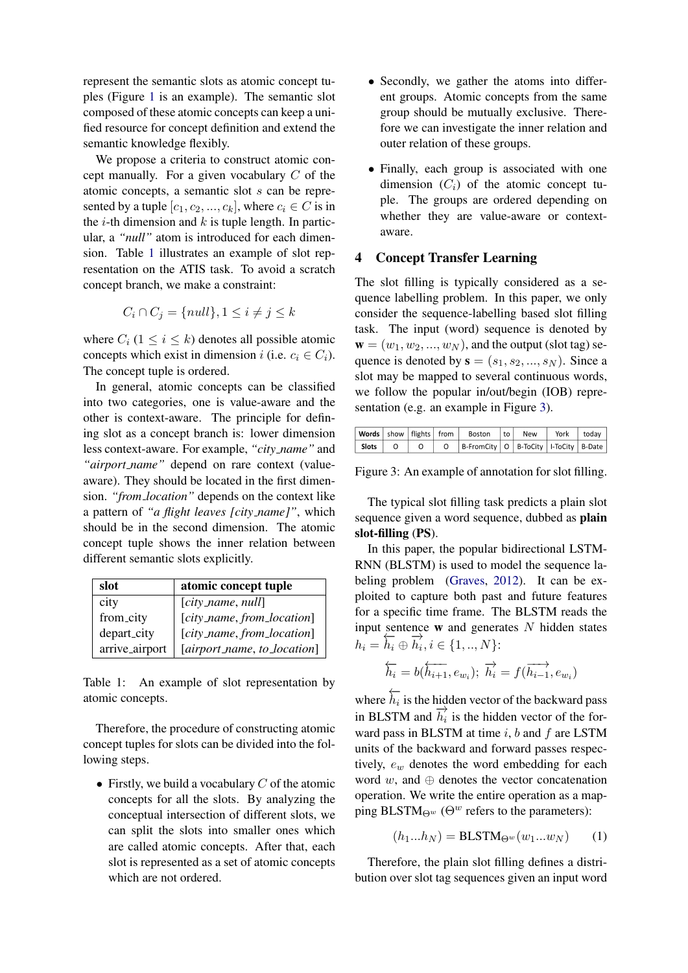represent the semantic slots as atomic concept tuples (Figure [1](#page-0-1) is an example). The semantic slot composed of these atomic concepts can keep a unified resource for concept definition and extend the semantic knowledge flexibly.

We propose a criteria to construct atomic concept manually. For a given vocabulary C of the atomic concepts, a semantic slot s can be represented by a tuple  $[c_1, c_2, ..., c_k]$ , where  $c_i \in C$  is in the *i*-th dimension and  $k$  is tuple length. In particular, a *"null"* atom is introduced for each dimension. Table [1](#page-2-1) illustrates an example of slot representation on the ATIS task. To avoid a scratch concept branch, we make a constraint:

$$
C_i \cap C_j = \{null\}, 1 \le i \ne j \le k
$$

where  $C_i$  ( $1 \le i \le k$ ) denotes all possible atomic concepts which exist in dimension i (i.e.  $c_i \in C_i$ ). The concept tuple is ordered.

In general, atomic concepts can be classified into two categories, one is value-aware and the other is context-aware. The principle for defining slot as a concept branch is: lower dimension less context-aware. For example, *"city name"* and *"airport name"* depend on rare context (valueaware). They should be located in the first dimension. *"from location"* depends on the context like a pattern of *"a flight leaves [city name]"*, which should be in the second dimension. The atomic concept tuple shows the inner relation between different semantic slots explicitly.

<span id="page-2-1"></span>

| slot           | atomic concept tuple        |
|----------------|-----------------------------|
| city           | $[city_name, null]$         |
| from_city      | [city_name, from_location]  |
| depart_city    | [city_name, from_location]  |
| arrive_airport | [airport_name, to_location] |

Table 1: An example of slot representation by atomic concepts.

Therefore, the procedure of constructing atomic concept tuples for slots can be divided into the following steps.

• Firstly, we build a vocabulary  $C$  of the atomic concepts for all the slots. By analyzing the conceptual intersection of different slots, we can split the slots into smaller ones which are called atomic concepts. After that, each slot is represented as a set of atomic concepts which are not ordered.

- Secondly, we gather the atoms into different groups. Atomic concepts from the same group should be mutually exclusive. Therefore we can investigate the inner relation and outer relation of these groups.
- Finally, each group is associated with one dimension  $(C_i)$  of the atomic concept tuple. The groups are ordered depending on whether they are value-aware or contextaware.

# <span id="page-2-0"></span>4 Concept Transfer Learning

The slot filling is typically considered as a sequence labelling problem. In this paper, we only consider the sequence-labelling based slot filling task. The input (word) sequence is denoted by  $\mathbf{w} = (w_1, w_2, ..., w_N)$ , and the output (slot tag) sequence is denoted by  $\mathbf{s} = (s_1, s_2, ..., s_N)$ . Since a slot may be mapped to several continuous words, we follow the popular in/out/begin (IOB) representation (e.g. an example in Figure [3\)](#page-2-2).

<span id="page-2-2"></span>

|       |  | Words   show   flights   from   Boston   to   | New ' | York todav |  |
|-------|--|-----------------------------------------------|-------|------------|--|
| Slots |  | B-FromCity   O   B-ToCity   I-ToCity   B-Date |       |            |  |

Figure 3: An example of annotation for slot filling.

The typical slot filling task predicts a plain slot sequence given a word sequence, dubbed as plain slot-filling (PS).

In this paper, the popular bidirectional LSTM-RNN (BLSTM) is used to model the sequence labeling problem [\(Graves,](#page-8-16) [2012\)](#page-8-16). It can be exploited to capture both past and future features for a specific time frame. The BLSTM reads the input sentence  $w$  and generates  $N$  hidden states  $h_i = \overleftarrow{h_i} \oplus \overrightarrow{h_i}, i \in \{1,..,N\}$ :

$$
\overleftarrow{h_i}=b(\overleftarrow{h_{i+1}},e_{w_i});\ \overrightarrow{h_i}=f(\overrightarrow{h_{i-1}},e_{w_i})
$$

where  $\overleftarrow{h_i}$  is the hidden vector of the backward pass in BLSTM and  $\vec{h}_i$  is the hidden vector of the forward pass in BLSTM at time  $i$ ,  $b$  and  $f$  are LSTM units of the backward and forward passes respectively,  $e_w$  denotes the word embedding for each word  $w$ , and  $oplus$  denotes the vector concatenation operation. We write the entire operation as a mapping BLSTM $_{\Theta^w}$  ( $\Theta^w$  refers to the parameters):

<span id="page-2-3"></span>
$$
(h_1...h_N) = \text{BLSTM}_{\Theta^w}(w_1...w_N) \qquad (1)
$$

Therefore, the plain slot filling defines a distribution over slot tag sequences given an input word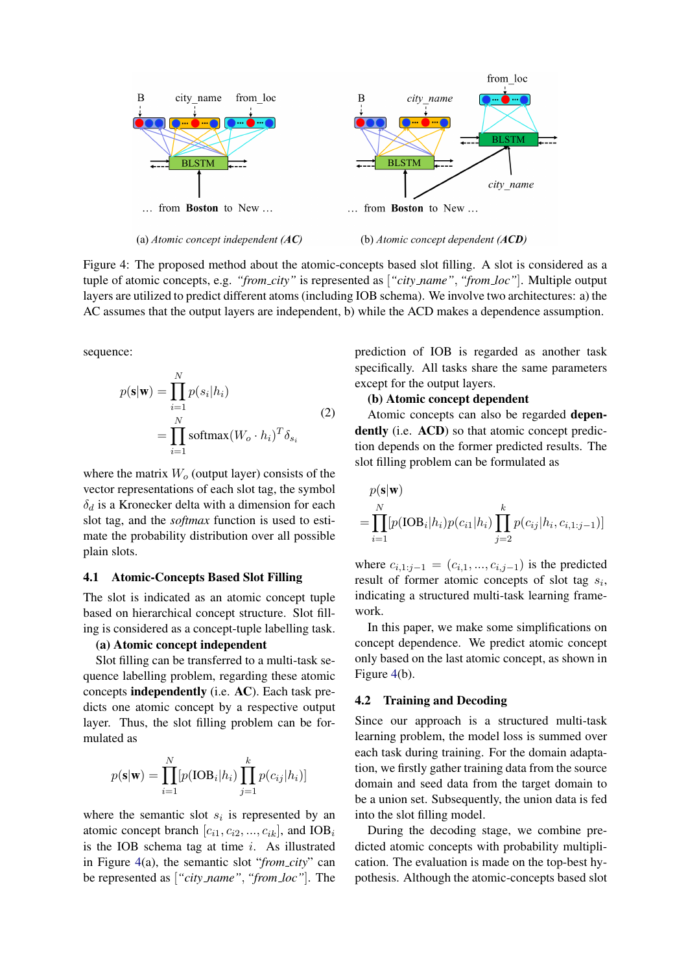<span id="page-3-0"></span>

Figure 4: The proposed method about the atomic-concepts based slot filling. A slot is considered as a tuple of atomic concepts, e.g. *"from city"* is represented as [*"city name"*, *"from loc"*]. Multiple output layers are utilized to predict different atoms (including IOB schema). We involve two architectures: a) the AC assumes that the output layers are independent, b) while the ACD makes a dependence assumption.

sequence:

<span id="page-3-1"></span>
$$
p(\mathbf{s}|\mathbf{w}) = \prod_{i=1}^{N} p(s_i|h_i)
$$
  
= 
$$
\prod_{i=1}^{N} \text{softmax}(W_o \cdot h_i)^T \delta_{s_i}
$$
 (2)

where the matrix  $W<sub>o</sub>$  (output layer) consists of the vector representations of each slot tag, the symbol  $\delta_d$  is a Kronecker delta with a dimension for each slot tag, and the *softmax* function is used to estimate the probability distribution over all possible plain slots.

# 4.1 Atomic-Concepts Based Slot Filling

The slot is indicated as an atomic concept tuple based on hierarchical concept structure. Slot filling is considered as a concept-tuple labelling task.

#### (a) Atomic concept independent

Slot filling can be transferred to a multi-task sequence labelling problem, regarding these atomic concepts independently (i.e. AC). Each task predicts one atomic concept by a respective output layer. Thus, the slot filling problem can be formulated as

$$
p(\mathbf{s}|\mathbf{w}) = \prod_{i=1}^{N} [p(\text{IOB}_i|h_i) \prod_{j=1}^{k} p(c_{ij}|h_i)]
$$

where the semantic slot  $s_i$  is represented by an atomic concept branch  $[c_{i1}, c_{i2}, ..., c_{ik}]$ , and  $IOB_i$ is the IOB schema tag at time  $i$ . As illustrated in Figure [4\(](#page-3-0)a), the semantic slot "*from city*" can be represented as [*"city name"*, *"from loc"*]. The prediction of IOB is regarded as another task specifically. All tasks share the same parameters except for the output layers.

# (b) Atomic concept dependent

Atomic concepts can also be regarded dependently (i.e. ACD) so that atomic concept prediction depends on the former predicted results. The slot filling problem can be formulated as

$$
p(\mathbf{s}|\mathbf{w})
$$
  
=  $\prod_{i=1}^{N} [p(\text{IOB}_i|h_i)p(c_{i1}|h_i)\prod_{j=2}^{k} p(c_{ij}|h_i, c_{i,1:j-1})]$ 

where  $c_{i,1;i-1} = (c_{i,1},...,c_{i,i-1})$  is the predicted result of former atomic concepts of slot tag  $s_i$ , indicating a structured multi-task learning framework.

In this paper, we make some simplifications on concept dependence. We predict atomic concept only based on the last atomic concept, as shown in Figure [4\(](#page-3-0)b).

#### 4.2 Training and Decoding

Since our approach is a structured multi-task learning problem, the model loss is summed over each task during training. For the domain adaptation, we firstly gather training data from the source domain and seed data from the target domain to be a union set. Subsequently, the union data is fed into the slot filling model.

During the decoding stage, we combine predicted atomic concepts with probability multiplication. The evaluation is made on the top-best hypothesis. Although the atomic-concepts based slot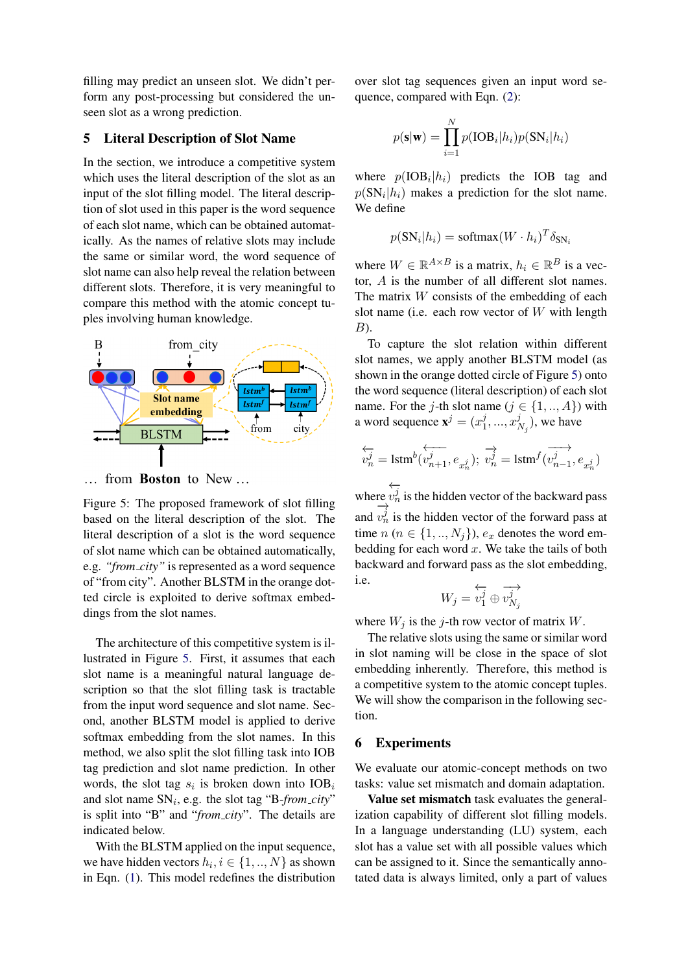filling may predict an unseen slot. We didn't perform any post-processing but considered the unseen slot as a wrong prediction.

#### <span id="page-4-0"></span>5 Literal Description of Slot Name

In the section, we introduce a competitive system which uses the literal description of the slot as an input of the slot filling model. The literal description of slot used in this paper is the word sequence of each slot name, which can be obtained automatically. As the names of relative slots may include the same or similar word, the word sequence of slot name can also help reveal the relation between different slots. Therefore, it is very meaningful to compare this method with the atomic concept tuples involving human knowledge.

<span id="page-4-2"></span>

from **Boston** to New ...  $\cdots$ 

Figure 5: The proposed framework of slot filling based on the literal description of the slot. The literal description of a slot is the word sequence of slot name which can be obtained automatically, e.g. *"from city"* is represented as a word sequence of "from city". Another BLSTM in the orange dotted circle is exploited to derive softmax embeddings from the slot names.

The architecture of this competitive system is illustrated in Figure [5.](#page-4-2) First, it assumes that each slot name is a meaningful natural language description so that the slot filling task is tractable from the input word sequence and slot name. Second, another BLSTM model is applied to derive softmax embedding from the slot names. In this method, we also split the slot filling task into IOB tag prediction and slot name prediction. In other words, the slot tag  $s_i$  is broken down into  $IOB_i$ and slot name  $SN_i$ , e.g. the slot tag "B-from\_city" is split into "B" and "*from city*". The details are indicated below.

With the BLSTM applied on the input sequence, we have hidden vectors  $h_i, i \in \{1, ..., N\}$  as shown in Eqn. [\(1\)](#page-2-3). This model redefines the distribution

over slot tag sequences given an input word se-quence, compared with Eqn. [\(2\)](#page-3-1):

$$
p(\mathbf{s}|\mathbf{w}) = \prod_{i=1}^{N} p(\text{IOB}_{i}|h_{i})p(\text{SN}_{i}|h_{i})
$$

where  $p(IOB<sub>i</sub>|h<sub>i</sub>)$  predicts the IOB tag and  $p(SN_i|h_i)$  makes a prediction for the slot name. We define

$$
p(SN_i|h_i) = \text{softmax}(W \cdot h_i)^T \delta_{SN_i}
$$

where  $W \in \mathbb{R}^{A \times B}$  is a matrix,  $h_i \in \mathbb{R}^B$  is a vector, A is the number of all different slot names. The matrix  $W$  consists of the embedding of each slot name (i.e. each row vector of  $W$  with length  $B$ ).

To capture the slot relation within different slot names, we apply another BLSTM model (as shown in the orange dotted circle of Figure [5\)](#page-4-2) onto the word sequence (literal description) of each slot name. For the j-th slot name ( $j \in \{1, ..., A\}$ ) with a word sequence  $\mathbf{x}^j = (x_1^j)$  $j_1, ..., x_l^j$  $_{N_j}^j$ ), we have

$$
\overleftarrow{v_n^j} = \text{lstm}^b(\overleftarrow{v_{n+1}^j}, e_{x_n^j}); \overrightarrow{v_n^j} = \text{lstm}^f(\overrightarrow{v_{n-1}^j}, e_{x_n^j})
$$

where ←−  $\prod_{i=1}^{n} v_n^j$  is the hidden vector of the backward pass and  $v_n^j$  is the hidden vector of the forward pass at time  $n (n \in \{1, ..., N_j\})$ ,  $e_x$  denotes the word embedding for each word  $x$ . We take the tails of both backward and forward pass as the slot embedding, i.e.

$$
W_j=\overleftarrow{v_1^j}\oplus \overrightarrow{v_{N_j}^j}
$$

where  $W_j$  is the j-th row vector of matrix W.

The relative slots using the same or similar word in slot naming will be close in the space of slot embedding inherently. Therefore, this method is a competitive system to the atomic concept tuples. We will show the comparison in the following section.

# <span id="page-4-1"></span>6 Experiments

We evaluate our atomic-concept methods on two tasks: value set mismatch and domain adaptation.

Value set mismatch task evaluates the generalization capability of different slot filling models. In a language understanding (LU) system, each slot has a value set with all possible values which can be assigned to it. Since the semantically annotated data is always limited, only a part of values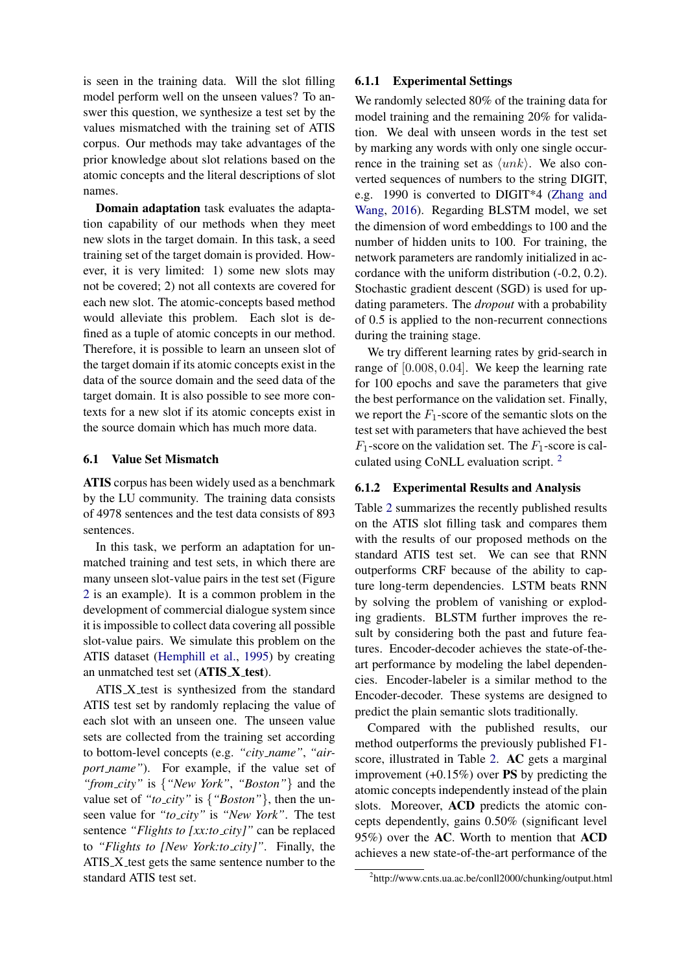is seen in the training data. Will the slot filling model perform well on the unseen values? To answer this question, we synthesize a test set by the values mismatched with the training set of ATIS corpus. Our methods may take advantages of the prior knowledge about slot relations based on the atomic concepts and the literal descriptions of slot names.

Domain adaptation task evaluates the adaptation capability of our methods when they meet new slots in the target domain. In this task, a seed training set of the target domain is provided. However, it is very limited: 1) some new slots may not be covered; 2) not all contexts are covered for each new slot. The atomic-concepts based method would alleviate this problem. Each slot is defined as a tuple of atomic concepts in our method. Therefore, it is possible to learn an unseen slot of the target domain if its atomic concepts exist in the data of the source domain and the seed data of the target domain. It is also possible to see more contexts for a new slot if its atomic concepts exist in the source domain which has much more data.

#### 6.1 Value Set Mismatch

ATIS corpus has been widely used as a benchmark by the LU community. The training data consists of 4978 sentences and the test data consists of 893 sentences.

In this task, we perform an adaptation for unmatched training and test sets, in which there are many unseen slot-value pairs in the test set (Figure [2](#page-1-0) is an example). It is a common problem in the development of commercial dialogue system since it is impossible to collect data covering all possible slot-value pairs. We simulate this problem on the ATIS dataset [\(Hemphill et al.,](#page-8-5) [1995\)](#page-8-5) by creating an unmatched test set (ATIS\_X\_test).

ATIS\_X\_test is synthesized from the standard ATIS test set by randomly replacing the value of each slot with an unseen one. The unseen value sets are collected from the training set according to bottom-level concepts (e.g. *"city name"*, *"airport name"*). For example, if the value set of *"from city"* is {*"New York"*, *"Boston"*} and the value set of *"to city"* is {*"Boston"*}, then the unseen value for *"to city"* is *"New York"*. The test sentence *"Flights to [xx:to\_city]"* can be replaced to *"Flights to [New York:to city]"*. Finally, the ATIS X test gets the same sentence number to the standard ATIS test set.

# 6.1.1 Experimental Settings

We randomly selected 80% of the training data for model training and the remaining 20% for validation. We deal with unseen words in the test set by marking any words with only one single occurrence in the training set as  $\langle unk \rangle$ . We also converted sequences of numbers to the string DIGIT, e.g. 1990 is converted to DIGIT\*4 [\(Zhang and](#page-8-17) [Wang,](#page-8-17) [2016\)](#page-8-17). Regarding BLSTM model, we set the dimension of word embeddings to 100 and the number of hidden units to 100. For training, the network parameters are randomly initialized in accordance with the uniform distribution (-0.2, 0.2). Stochastic gradient descent (SGD) is used for updating parameters. The *dropout* with a probability of 0.5 is applied to the non-recurrent connections during the training stage.

We try different learning rates by grid-search in range of [0.008, 0.04]. We keep the learning rate for 100 epochs and save the parameters that give the best performance on the validation set. Finally, we report the  $F_1$ -score of the semantic slots on the test set with parameters that have achieved the best  $F_1$ -score on the validation set. The  $F_1$ -score is calculated using CoNLL evaluation script. [2](#page-5-0)

# 6.1.2 Experimental Results and Analysis

Table [2](#page-6-0) summarizes the recently published results on the ATIS slot filling task and compares them with the results of our proposed methods on the standard ATIS test set. We can see that RNN outperforms CRF because of the ability to capture long-term dependencies. LSTM beats RNN by solving the problem of vanishing or exploding gradients. BLSTM further improves the result by considering both the past and future features. Encoder-decoder achieves the state-of-theart performance by modeling the label dependencies. Encoder-labeler is a similar method to the Encoder-decoder. These systems are designed to predict the plain semantic slots traditionally.

Compared with the published results, our method outperforms the previously published F1 score, illustrated in Table [2.](#page-6-0) AC gets a marginal improvement  $(+0.15\%)$  over **PS** by predicting the atomic concepts independently instead of the plain slots. Moreover, ACD predicts the atomic concepts dependently, gains 0.50% (significant level 95%) over the AC. Worth to mention that ACD achieves a new state-of-the-art performance of the

<span id="page-5-0"></span><sup>2</sup> http://www.cnts.ua.ac.be/conll2000/chunking/output.html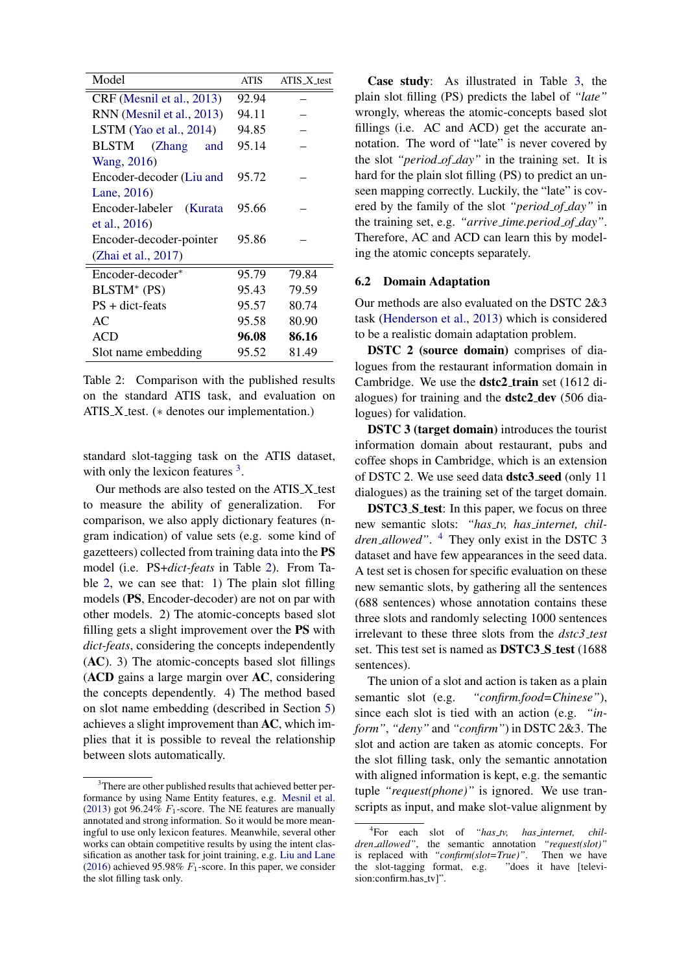<span id="page-6-0"></span>

| Model                         | ATIS  | $ATIS_X_t$ |  |
|-------------------------------|-------|------------|--|
| CRF (Mesnil et al., 2013)     | 92.94 |            |  |
| RNN (Mesnil et al., 2013)     | 94.11 |            |  |
| LSTM (Yao et al., $2014$ )    | 94.85 |            |  |
| <b>BLSTM</b><br>(Zhang<br>and | 95.14 |            |  |
| Wang, 2016)                   |       |            |  |
| Encoder-decoder (Liu and      | 95.72 |            |  |
| Lane, 2016)                   |       |            |  |
| Encoder-labeler (Kurata       | 95.66 |            |  |
| et al., 2016)                 |       |            |  |
| Encoder-decoder-pointer       | 95.86 |            |  |
| (Zhai et al., 2017)           |       |            |  |
| Encoder-decoder*              | 95.79 | 79.84      |  |
| BLSTM <sup>*</sup> (PS)       | 95.43 | 79.59      |  |
| $PS + dict-feats$             | 95.57 | 80.74      |  |
| AC                            | 95.58 | 80.90      |  |
| <b>ACD</b>                    | 96.08 | 86.16      |  |
| Slot name embedding           | 95.52 | 81.49      |  |

Table 2: Comparison with the published results on the standard ATIS task, and evaluation on ATIS  $X$  test. ( $*$  denotes our implementation.)

standard slot-tagging task on the ATIS dataset, with only the lexicon features  $3$ .

Our methods are also tested on the ATIS\_X\_test to measure the ability of generalization. For comparison, we also apply dictionary features (ngram indication) of value sets (e.g. some kind of gazetteers) collected from training data into the PS model (i.e. PS+*dict-feats* in Table [2\)](#page-6-0). From Table [2,](#page-6-0) we can see that: 1) The plain slot filling models (PS, Encoder-decoder) are not on par with other models. 2) The atomic-concepts based slot filling gets a slight improvement over the PS with *dict-feats*, considering the concepts independently (AC). 3) The atomic-concepts based slot fillings (ACD gains a large margin over AC, considering the concepts dependently. 4) The method based on slot name embedding (described in Section [5\)](#page-4-0) achieves a slight improvement than AC, which implies that it is possible to reveal the relationship between slots automatically.

Case study: As illustrated in Table [3,](#page-7-1) the plain slot filling (PS) predicts the label of *"late"* wrongly, whereas the atomic-concepts based slot fillings (i.e. AC and ACD) get the accurate annotation. The word of "late" is never covered by the slot *"period of day"* in the training set. It is hard for the plain slot filling (PS) to predict an unseen mapping correctly. Luckily, the "late" is covered by the family of the slot *"period of day"* in the training set, e.g. *"arrive time.period of day"*. Therefore, AC and ACD can learn this by modeling the atomic concepts separately.

#### 6.2 Domain Adaptation

Our methods are also evaluated on the DSTC 2&3 task [\(Henderson et al.,](#page-8-6) [2013\)](#page-8-6) which is considered to be a realistic domain adaptation problem.

DSTC 2 (source domain) comprises of dialogues from the restaurant information domain in Cambridge. We use the **dstc2\_train** set (1612 dialogues) for training and the dstc2 dev (506 dialogues) for validation.

DSTC 3 (target domain) introduces the tourist information domain about restaurant, pubs and coffee shops in Cambridge, which is an extension of DSTC 2. We use seed data dstc3 seed (only 11 dialogues) as the training set of the target domain.

DSTC3\_S\_test: In this paper, we focus on three new semantic slots: "has\_tv, has\_internet, chil*dren allowed"*. [4](#page-6-2) They only exist in the DSTC 3 dataset and have few appearances in the seed data. A test set is chosen for specific evaluation on these new semantic slots, by gathering all the sentences (688 sentences) whose annotation contains these three slots and randomly selecting 1000 sentences irrelevant to these three slots from the *dstc3 test* set. This test set is named as **DSTC3\_S\_test** (1688) sentences).

The union of a slot and action is taken as a plain semantic slot (e.g. *"confirm.food=Chinese"*), since each slot is tied with an action (e.g. *"inform"*, *"deny"* and *"confirm"*) in DSTC 2&3. The slot and action are taken as atomic concepts. For the slot filling task, only the semantic annotation with aligned information is kept, e.g. the semantic tuple *"request(phone)"* is ignored. We use transcripts as input, and make slot-value alignment by

<span id="page-6-1"></span><sup>&</sup>lt;sup>3</sup>There are other published results that achieved better performance by using Name Entity features, e.g. [Mesnil et al.](#page-8-9) [\(2013\)](#page-8-9) got 96.24%  $F_1$ -score. The NE features are manually annotated and strong information. So it would be more meaningful to use only lexicon features. Meanwhile, several other works can obtain competitive results by using the intent classification as another task for joint training, e.g. [Liu and Lane](#page-8-3) [\(2016\)](#page-8-3) achieved 95.98%  $F_1$ -score. In this paper, we consider the slot filling task only.

<span id="page-6-2"></span><sup>4</sup> For each slot of *"has tv, has internet, children allowed"*, the semantic annotation *"request(slot)"* is replaced with "*confirm(slot=True)*". Then we have the slot-tagging format, e.g. "does it have [televithe slot-tagging format,  $e.g.$ sion:confirm.has\_tv]".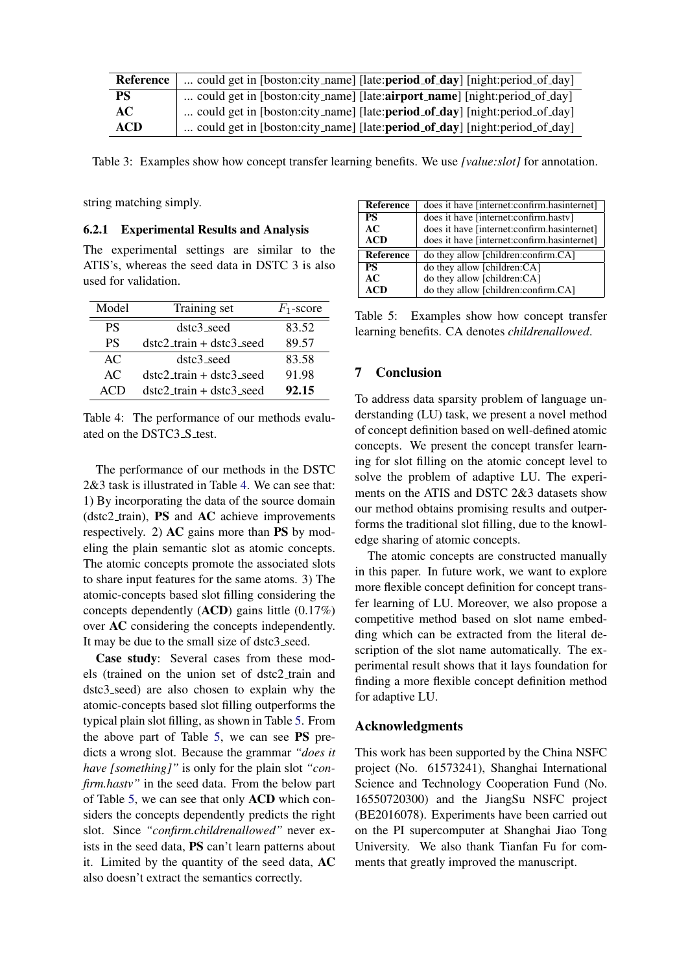<span id="page-7-1"></span>

| <b>Reference</b> | could get in [boston:city_name] [late:period_of_day] [night:period_of_day]          |
|------------------|-------------------------------------------------------------------------------------|
| <b>PS</b>        | could get in [boston:city_name] [late: <b>airport_name</b> ] [night:period_of_day]  |
| AC.              | could get in [boston:city_name] [late: <b>period_of_day</b> ] [night:period_of_day] |
| <b>ACD</b>       | could get in [boston:city_name] [late: <b>period_of_day</b> ] [night:period_of_day] |

Table 3: Examples show how concept transfer learning benefits. We use *[value:slot]* for annotation.

string matching simply.

#### 6.2.1 Experimental Results and Analysis

The experimental settings are similar to the ATIS's, whereas the seed data in DSTC 3 is also used for validation.

<span id="page-7-2"></span>

| Model     | Training set               | $F_1$ -score |
|-----------|----------------------------|--------------|
| <b>PS</b> | dstc3 seed                 | 83.52        |
| <b>PS</b> | $dstc2_train + dste3_seed$ | 89.57        |
| AC        | $dstc3$ <sub>-seed</sub>   | 83.58        |
| AC        | $dstc2_train + dste3_seed$ | 91.98        |
| ACD       | $dstc2_train + dstc3_seed$ | 92.15        |

Table 4: The performance of our methods evaluated on the DSTC3\_S\_test.

The performance of our methods in the DSTC 2&3 task is illustrated in Table [4.](#page-7-2) We can see that: 1) By incorporating the data of the source domain (dstc2 train), PS and AC achieve improvements respectively. 2) AC gains more than PS by modeling the plain semantic slot as atomic concepts. The atomic concepts promote the associated slots to share input features for the same atoms. 3) The atomic-concepts based slot filling considering the concepts dependently (ACD) gains little (0.17%) over AC considering the concepts independently. It may be due to the small size of dstc3 seed.

Case study: Several cases from these models (trained on the union set of dstc2 train and dstc3 seed) are also chosen to explain why the atomic-concepts based slot filling outperforms the typical plain slot filling, as shown in Table [5.](#page-7-3) From the above part of Table [5,](#page-7-3) we can see PS predicts a wrong slot. Because the grammar *"does it have [something]"* is only for the plain slot *"confirm.hastv"* in the seed data. From the below part of Table [5,](#page-7-3) we can see that only ACD which considers the concepts dependently predicts the right slot. Since *"confirm.childrenallowed"* never exists in the seed data, PS can't learn patterns about it. Limited by the quantity of the seed data, AC also doesn't extract the semantics correctly.

<span id="page-7-3"></span>

| Reference              | does it have [internet:confirm.hasinternet] |
|------------------------|---------------------------------------------|
| <b>PS</b>              | does it have [internet:confirm.hastv]       |
| AC                     | does it have [internet:confirm.hasinternet] |
| <b>ACD</b>             | does it have [internet:confirm.hasinternet] |
| <b>Reference</b>       |                                             |
|                        | do they allow [children:confirm.CA]         |
| $\overline{\text{PS}}$ | do they allow [children:CA]                 |
| AC                     | do they allow [children:CA]                 |

Table 5: Examples show how concept transfer learning benefits. CA denotes *childrenallowed*.

# <span id="page-7-0"></span>7 Conclusion

To address data sparsity problem of language understanding (LU) task, we present a novel method of concept definition based on well-defined atomic concepts. We present the concept transfer learning for slot filling on the atomic concept level to solve the problem of adaptive LU. The experiments on the ATIS and DSTC 2&3 datasets show our method obtains promising results and outperforms the traditional slot filling, due to the knowledge sharing of atomic concepts.

The atomic concepts are constructed manually in this paper. In future work, we want to explore more flexible concept definition for concept transfer learning of LU. Moreover, we also propose a competitive method based on slot name embedding which can be extracted from the literal description of the slot name automatically. The experimental result shows that it lays foundation for finding a more flexible concept definition method for adaptive LU.

# Acknowledgments

This work has been supported by the China NSFC project (No. 61573241), Shanghai International Science and Technology Cooperation Fund (No. 16550720300) and the JiangSu NSFC project (BE2016078). Experiments have been carried out on the PI supercomputer at Shanghai Jiao Tong University. We also thank Tianfan Fu for comments that greatly improved the manuscript.